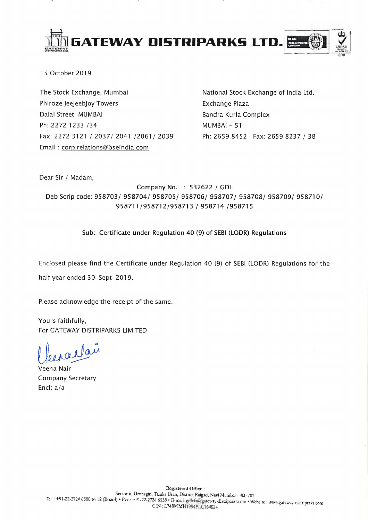

15 October 2019

The Stock Exchange, Mumbai Phlroze Jeejeebjoy Towers Dalal Street MUMBAI Ph: 2272 1233 /34 Fax: 2272 3121/2037/2041/2061/2039 Email: corp.relations@bseindia.com

National Stock Exchange of India Ltd. Exchange Plaza Bandra Kurla Complex MUMBAI - 51 Ph: 2659 8452 Fax: 2659 8237 / 38

Dear Sir / Madam,

Company No. : 532622 / GDL Deb Scrip code: 958703/ 958704/ 958705/ 958706/ 958707/ 958708/ 958709/ 958710/ 958711/958712/958713 / 958714 /958715

### Sub: Certificate under Regulation 40 (9) of SEBI (LODR) Regulations

Enclosed please find the Certificate under Regulation 40 (9) of SEBI (LODR) Regulations for the half year ended 30-Sept-2019.

Please acknowledge the receipt of the same.

Yours faithfully, For GATEWAY DISTRIPARKS LIMITED

enantaire

Veena Nair Company Secretary Encl: a/a